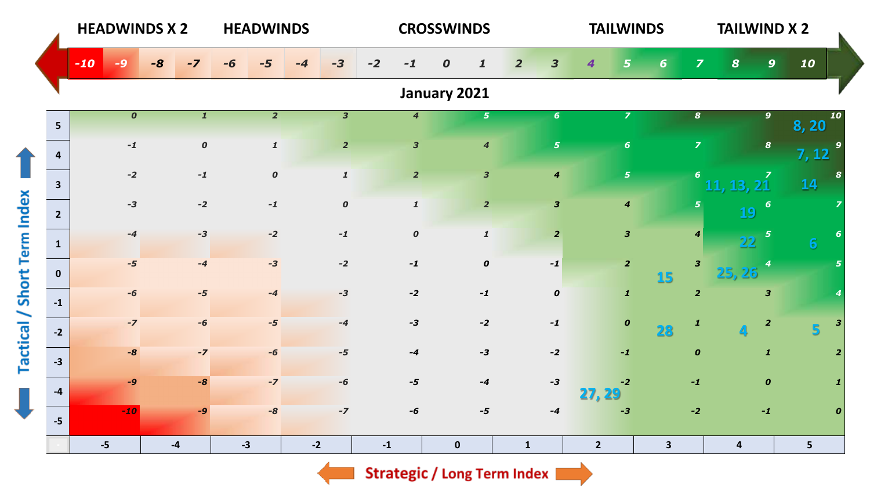|                                    |                | <b>HEADWINDS X 2</b> |      |                  | <b>HEADWINDS</b> |                           |                         |               |                         | <b>CROSSWINDS</b>                              |                |                         | <b>TAILWINDS</b>        |              |                         | <b>TAILWIND X 2</b>     |                         |                   |                  |
|------------------------------------|----------------|----------------------|------|------------------|------------------|---------------------------|-------------------------|---------------|-------------------------|------------------------------------------------|----------------|-------------------------|-------------------------|--------------|-------------------------|-------------------------|-------------------------|-------------------|------------------|
|                                    |                | $-10$<br>40          | $-8$ | $-7$             | -6               | $-5$                      | $-3$                    | $-2$          | $-1$                    | $\boldsymbol{o}$<br>$\boldsymbol{\mathcal{I}}$ | $\overline{2}$ | $\overline{\mathbf{3}}$ | 4<br>5                  | 6            | $\overline{\mathbf{z}}$ | $\boldsymbol{8}$        | $\mathbf{9}$            | 10                |                  |
|                                    |                |                      |      |                  |                  |                           |                         |               |                         | January 2021                                   |                |                         |                         |              |                         |                         |                         |                   |                  |
|                                    | 5 <sup>5</sup> | $\boldsymbol{o}$     |      | $\mathbf{1}$     |                  | $\overline{2}$            | $\overline{\mathbf{3}}$ |               | $\overline{4}$          | $\overline{5}$                                 |                | $6\phantom{1}$          | $\overline{z}$          |              | $\boldsymbol{s}$        |                         | $\overline{9}$          | 8,20              | 10               |
|                                    | $\overline{a}$ | $-1$                 |      | $\boldsymbol{o}$ |                  | $\boldsymbol{\mathit{1}}$ | $\overline{2}$          |               | $\overline{\mathbf{3}}$ | $\overline{\mathbf{4}}$                        |                | $\overline{\mathbf{5}}$ | 6                       |              | $\overline{z}$          |                         | $\boldsymbol{8}$        | $\overline{7,12}$ | 9                |
|                                    | $\mathbf{3}$   | $-2$                 |      | $-1$             |                  | $\pmb{o}$                 | $\mathbf 1$             |               | $\overline{2}$          | $\mathbf{3}$                                   |                | $\boldsymbol{4}$        | $\overline{5}$          |              | 6 <sup>1</sup>          | <b>11</b><br>. 13.      | $\boldsymbol{z}$        | 14                | 8                |
|                                    | $2^{\circ}$    | $-3$                 |      | $-2$             |                  | $-1$                      | $\boldsymbol{o}$        |               | $\pmb{\mathcal{1}}$     | $\overline{2}$                                 |                | $\mathbf{3}$            | $\boldsymbol{4}$        |              | 5                       | 19                      | $\boldsymbol{6}$        |                   |                  |
|                                    | $\mathbf{1}$   | $-4$                 |      | $-3$             |                  | $-2$                      | $-1$                    |               | $\boldsymbol{o}$        | $\pmb{\mathcal{1}}$                            |                | $\overline{2}$          | $\overline{\mathbf{3}}$ |              | $\boldsymbol{4}$        | 22                      | 5                       | $6 \overline{6}$  |                  |
|                                    | $\mathbf 0$    | $-5$                 |      | $-4$             |                  | $-3$                      | $-2$                    |               | $-1$                    | $\boldsymbol{o}$                               |                | $-1$                    | $\overline{2}$          | 15           | $\overline{\mathbf{3}}$ | 25.26                   |                         |                   | 5                |
| <b>Tactical / Short Term Index</b> | $-1$           | $-6$                 |      | $-5$             |                  | $-4$                      | $-3$                    |               | $-2$                    | $-1$                                           |                | $\pmb{o}$               | $\mathbf{1}$            |              | $\overline{2}$          |                         | $\overline{\mathbf{3}}$ |                   |                  |
|                                    | $-2$           | $-7$                 |      | $-6$             |                  | $-5$                      | $-4$                    |               | $-3$                    | $-2$                                           |                | $-1$                    | $\pmb{o}$               | 28           | $\mathbf{1}$            |                         | $\overline{2}$          | $5\overline{}$    |                  |
|                                    | $-3$           | $-8$                 |      | $-7$             |                  | $-6$                      | $-5$                    |               | $-4$                    | $-3$                                           |                | $-2$                    | $-1$                    |              | $\boldsymbol{o}$        |                         | $\mathbf{1}$            |                   | $\overline{2}$   |
| J                                  | $-4$           | $-9$                 |      | $-8$             |                  | $-7$                      | $-6$                    |               | $-5$                    | $-4$                                           |                | $-3$                    | $-2$<br>27, 29          |              | $-1$                    |                         | $\boldsymbol{o}$        |                   |                  |
|                                    | $-5$           | $-10$                |      | $-9$             |                  | $-8$                      | $-7$                    |               | $-6$                    | $-5$                                           |                | $-4$                    | $-3$                    |              | $-2$                    |                         | $-1$                    |                   | $\boldsymbol{0}$ |
|                                    |                | $-5$                 | $-4$ |                  | $-3$             |                           | $-2$                    | $\textbf{-1}$ |                         | $\pmb{0}$                                      | $\mathbf{1}$   |                         | $\overline{2}$          | $\mathbf{3}$ |                         | $\overline{\mathbf{4}}$ |                         | 5 <sup>1</sup>    |                  |

Strategic / Long Term Index  $\blacksquare$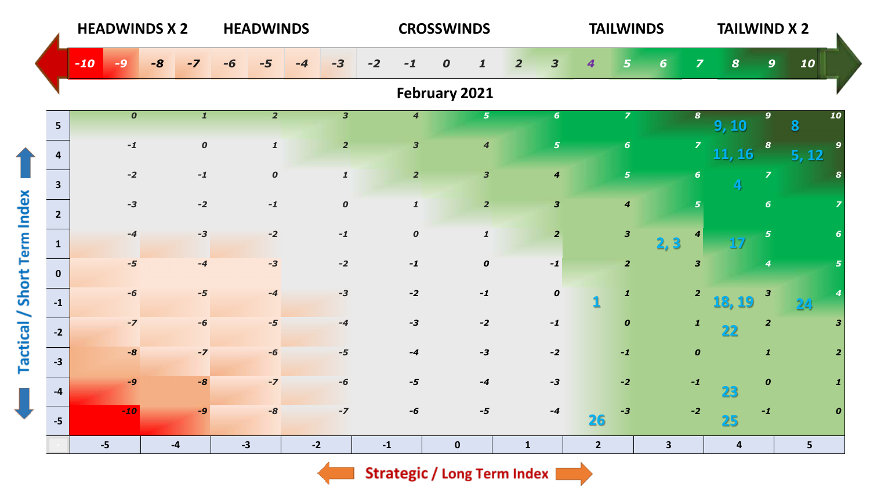|                             |                | <b>HEADWINDS X 2</b> |                  |      |                  |      | <b>HEADWINDS</b>    |      |                         |      |                             | <b>CROSSWINDS</b> |                         |                |                         |                | <b>TAILWINDS</b> |                         |                         | <b>TAILWIND X 2</b>     |                  |       |    |
|-----------------------------|----------------|----------------------|------------------|------|------------------|------|---------------------|------|-------------------------|------|-----------------------------|-------------------|-------------------------|----------------|-------------------------|----------------|------------------|-------------------------|-------------------------|-------------------------|------------------|-------|----|
|                             |                | $-10$<br>-9          |                  | $-8$ | $-7$             |      |                     | -4   | $-3$                    | $-2$ | -1                          | 0                 | $\mathbf{1}$            | $\overline{2}$ | 3                       |                | 5                | $6 \nightharpoonup$     | $\overline{\mathbf{z}}$ | $\boldsymbol{8}$        | $\mathbf{9}$     | 10    |    |
|                             |                |                      |                  |      |                  |      |                     |      |                         |      |                             | February 2021     |                         |                |                         |                |                  |                         |                         |                         |                  |       |    |
|                             | 5 <sup>5</sup> |                      | $\boldsymbol{o}$ |      | $\mathbf{1}$     |      | $\overline{2}$      |      | $\overline{\mathbf{3}}$ |      | $\overline{\boldsymbol{4}}$ |                   | 5 <sub>1</sub>          |                | 6 <sup>1</sup>          |                | $\overline{z}$   |                         | $\boldsymbol{8}$        | 9, 10                   | $\boldsymbol{9}$ | 8     | 10 |
|                             | $\overline{a}$ |                      | $\mathbf{-1}$    |      | $\boldsymbol{o}$ |      | $\pmb{\mathcal{1}}$ |      | $\overline{2}$          |      | $\mathbf{3}$                |                   | $\overline{\mathbf{4}}$ |                | 5 <sup>1</sup>          |                | 6 <sup>1</sup>   |                         | $\overline{z}$          | 11, 16                  | $\boldsymbol{s}$ | 5, 12 | 9  |
|                             | $\mathbf{3}$   |                      | $-2$             |      | $-1$             |      | $\boldsymbol{o}$    |      | $\pmb{\mathcal{1}}$     |      | $\overline{2}$              |                   | $\overline{\mathbf{3}}$ |                | $\boldsymbol{4}$        |                | 5 <sub>1</sub>   |                         | $\boldsymbol{6}$        | $\overline{\mathbf{4}}$ | $\overline{z}$   |       | 8  |
|                             | $2^{\circ}$    |                      | $-3$             |      | $-2$             |      | $-1$                |      | $\pmb{o}$               |      | $\pmb{\mathcal{I}}$         |                   | $\overline{2}$          |                | $\overline{\mathbf{3}}$ |                | $\boldsymbol{4}$ |                         | 5 <sub>5</sub>          |                         | 6 <sup>1</sup>   |       |    |
|                             | $\mathbf{1}$   |                      | $-4$             |      | $-3$             |      | $-2$                |      | $-1$                    |      | $\pmb{o}$                   |                   | $\pmb{\mathit{1}}$      |                | $\overline{2}$          |                | $\mathbf{3}$     | 2,3                     | 4                       |                         | 5                |       |    |
|                             | $\mathbf{0}$   |                      | $-5$             |      | $-4$             |      | $-3$                |      | $-2$                    |      | $-1$                        |                   | $\pmb{o}$               |                | $-1$                    |                | $\overline{2}$   |                         | $\mathbf{3}$            |                         | 4                |       |    |
|                             | $-1$           |                      | $-6$             |      | $-5$             |      | $-4$                |      | $-3$                    |      | $-2$                        |                   | $-1$                    |                | $\pmb{o}$               |                | $\mathbf{1}$     |                         | $\overline{2}$          | 18, 19                  | $\mathbf{3}$     |       |    |
|                             | $-2$           |                      | $-7$             |      | $-6$             |      | $-5$                |      | $-4$                    |      | $-3$                        |                   | $-2$                    |                | $-1$                    |                | $\boldsymbol{o}$ |                         | $\boldsymbol{1}$        | 22                      | $\overline{2}$   |       | 3  |
| Tactical / Short Term Index | $-3$           |                      | $-8$             |      | $-7$             |      | $-6$                |      | $-5$                    |      | $-4$                        |                   | $-3$                    |                | $-2$                    |                | $-1$             |                         | $\boldsymbol{o}$        |                         | $\boldsymbol{1}$ |       |    |
| J                           | $-4$           |                      | $-9$             |      | $-8$             |      | $-7$                |      | $-6$                    |      | $-5$                        |                   | $-4$                    |                | $-3$                    |                | $-2$             |                         | $\mathbf{-1}$           | 23                      | $\boldsymbol{0}$ |       |    |
|                             | $-5$           |                      | $-10$            |      | -9               |      | $-8$                |      | $-7$                    |      | -6                          |                   | $-5$                    |                | $-4$                    | 26             | -3               |                         | $-2$                    | 25                      | -1               |       |    |
|                             |                | $-5$                 |                  | $-4$ |                  | $-3$ |                     | $-2$ |                         | $-1$ |                             | $\mathbf 0$       |                         | $\mathbf{1}$   |                         | $\overline{2}$ |                  | $\overline{\mathbf{3}}$ |                         | $\overline{\mathbf{4}}$ |                  | 5     |    |

Strategic / Long Term Index  $\blacksquare$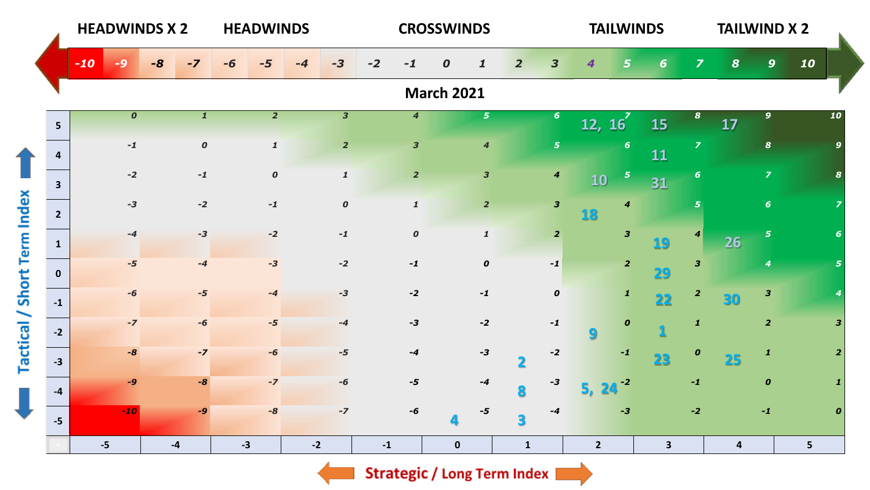|                                    |                         | <b>HEADWINDS X 2</b> |    |                  |      | <b>HEADWINDS</b>    |      |                         |               |                             | <b>CROSSWINDS</b> |                         |                |                         |                | <b>TAILWINDS</b>        |              |                         | <b>TAILWIND X 2</b>     |                         |                |                  |
|------------------------------------|-------------------------|----------------------|----|------------------|------|---------------------|------|-------------------------|---------------|-----------------------------|-------------------|-------------------------|----------------|-------------------------|----------------|-------------------------|--------------|-------------------------|-------------------------|-------------------------|----------------|------------------|
|                                    |                         | $-10$                | -8 |                  | -6   |                     | -4   | $-3$                    | $-2$          | -1                          | 0                 |                         | $\overline{2}$ | 3                       | 4              |                         | 6            | $\overline{\mathbf{z}}$ | $\boldsymbol{s}$        | $\mathbf{9}$            | 10             |                  |
|                                    |                         |                      |    |                  |      |                     |      |                         |               |                             | <b>March 2021</b> |                         |                |                         |                |                         |              |                         |                         |                         |                |                  |
|                                    | 5 <sup>5</sup>          | $\boldsymbol{o}$     |    | $\mathbf{1}$     |      | $\overline{2}$      |      | $\overline{\mathbf{3}}$ |               | $\overline{\boldsymbol{4}}$ |                   | $\overline{\mathbf{5}}$ |                | $6\phantom{1}6$         | 12, 16         |                         | 15           | 8                       | 17                      | 9 <sup>°</sup>          |                | 10               |
|                                    | $\overline{a}$          | $-1$                 |    | $\boldsymbol{o}$ |      | $\pmb{\mathcal{I}}$ |      | $\overline{\mathbf{2}}$ |               | $\overline{\mathbf{3}}$     |                   | $\boldsymbol{4}$        |                | $\overline{5}$          |                | $6\phantom{1}6$         | 11           | $\overline{z}$          |                         | $\boldsymbol{8}$        |                |                  |
|                                    | $\overline{\mathbf{3}}$ | $-2$                 |    | $-1$             |      | $\boldsymbol{o}$    |      | $\pmb{\mathit{1}}$      |               | $\overline{2}$              |                   | $\overline{\mathbf{3}}$ |                | $\boldsymbol{4}$        | 10             | $\overline{\mathbf{5}}$ | 31           | 6                       |                         | $\overline{z}$          |                |                  |
|                                    | $2^{\circ}$             | $-3$                 |    | $-2$             |      | $\mathbf{-1}$       |      | $\boldsymbol{0}$        |               | $\mathbf{1}$                |                   | $\overline{2}$          |                | $\overline{\mathbf{3}}$ | 18             | $\boldsymbol{4}$        |              | 5                       |                         | 6 <sup>1</sup>          |                |                  |
|                                    | $\mathbf{1}$            | $-4$                 |    | $-3$             |      | $-2$                |      | $\mathbf{-1}$           |               | $\boldsymbol{o}$            |                   | $\pmb{\mathcal{I}}$     |                | $\overline{2}$          |                | $\overline{\mathbf{3}}$ | 19           | 4                       | 26                      | $5\phantom{.0}$         |                |                  |
|                                    | $\mathbf{0}$            | $-5$                 |    | $-4$             |      | $-3$                |      | $-2$                    |               | $-1$                        |                   | $\pmb{o}$               |                | $-1$                    |                | $\overline{2}$          | 29           | $\overline{\mathbf{3}}$ |                         | $\boldsymbol{4}$        |                |                  |
| <b>Tactical / Short Term Index</b> | $-1$                    | $-6$                 |    | $-5$             |      | $-4$                |      | $-3$                    |               | $-2$                        |                   | $-1$                    |                | $\pmb{o}$               |                | $\mathbf{1}$            | 22           | $\overline{\mathbf{2}}$ |                         | $\overline{\mathbf{3}}$ |                |                  |
|                                    | $-2$                    | $-7$                 |    | $-6$             |      | -5                  |      | $-4$                    |               | $-3$                        |                   | $-2$                    |                | $-1$                    | 9              | $\boldsymbol{o}$        |              | $\mathbf{1}$            |                         | $\overline{2}$          |                | 3                |
|                                    | $-3$                    | $-8$                 |    | $-7$             |      | -6                  |      | $-5$                    |               | $-4$                        |                   | $-3$                    | $\mathbf 2$    | $-2$                    |                | $-1$                    | 23           | $\boldsymbol{o}$        | 25                      | $\mathbf{1}$            |                |                  |
|                                    | $-4$                    | $-9$                 |    | $-8$             |      | $-7$                |      | -6                      |               | $-5$                        |                   | $-4$                    | 8              | -3                      |                | $-2$                    |              | $-1$                    |                         | $\boldsymbol{o}$        |                |                  |
| J                                  | $-5$                    | $-10$                |    | $-9$             |      | $-8$                |      | $-7$                    |               | -6                          |                   | $-5$                    | 3              | $-4$                    |                | $-3$                    |              | $-2$                    |                         | $\mathbf{-1}$           |                | $\boldsymbol{o}$ |
|                                    |                         | $-5$                 |    | $-4$             | $-3$ |                     | $-2$ |                         | $\textbf{-1}$ |                             | $\pmb{0}$         |                         | $\mathbf{1}$   |                         | $\overline{2}$ |                         | $\mathbf{3}$ |                         | $\overline{\mathbf{4}}$ |                         | 5 <sup>1</sup> |                  |

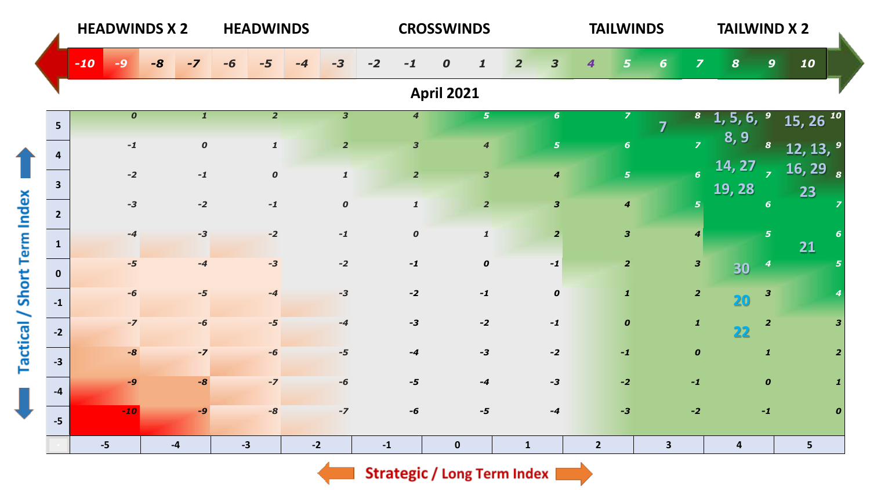|                             |                | <b>HEADWINDS X 2</b> |      |                  | <b>HEADWINDS</b>    |      |                         |                         | <b>CROSSWINDS</b> |                         |                                           | <b>TAILWINDS</b>        |                         |                         | <b>TAILWIND X 2</b>           |                         |                                    |   |
|-----------------------------|----------------|----------------------|------|------------------|---------------------|------|-------------------------|-------------------------|-------------------|-------------------------|-------------------------------------------|-------------------------|-------------------------|-------------------------|-------------------------------|-------------------------|------------------------------------|---|
|                             |                | $-10$                | $-8$ |                  |                     |      |                         | $-2$<br>-1              | 0                 |                         | $\overline{\mathbf{3}}$<br>$\overline{2}$ | 4                       | 6                       | $\overline{\mathbf{z}}$ | $\boldsymbol{8}$              | $\mathbf{9}$            | 10                                 |   |
|                             |                |                      |      |                  |                     |      |                         |                         | <b>April 2021</b> |                         |                                           |                         |                         |                         |                               |                         |                                    |   |
|                             | 5 <sup>5</sup> | $\boldsymbol{o}$     |      | $\mathbf{1}$     | $\overline{2}$      |      | $\overline{\mathbf{3}}$ | $\overline{4}$          |                   | 5 <sup>1</sup>          | $6\phantom{1}$                            | $\overline{z}$          |                         |                         | 6,<br>1, 5,                   | $\boldsymbol{9}$        | $15, 26^{10}$                      |   |
|                             | $\mathbf{4}$   | $-1$                 |      | $\boldsymbol{o}$ | $\pmb{\mathcal{I}}$ |      | $\overline{2}$          | $\overline{\mathbf{3}}$ |                   | $\boldsymbol{4}$        | 5 <sub>1</sub>                            | 6 <sup>1</sup>          |                         | $\overline{z}$          | 8, 9                          | $\boldsymbol{s}$        | $12, 13,$ <sup>9</sup>             |   |
|                             | $\overline{3}$ | $-2$                 |      | $-1$             | $\boldsymbol{o}$    |      | $\pmb{\mathcal{1}}$     | $\overline{2}$          |                   | $\overline{\mathbf{3}}$ | $\boldsymbol{4}$                          | 5 <sup>1</sup>          |                         | $\overline{6}$          | $\overline{14, 27}$<br>19, 28 | $\mathbf{z}$            | $\overline{16, 29}$ $\overline{s}$ |   |
|                             | $2^{\circ}$    | $-3$                 |      | $-2$             | $-1$                |      | $\boldsymbol{o}$        | $\mathbf{1}$            |                   | $\overline{2}$          | $\overline{\mathbf{3}}$                   | $\overline{4}$          |                         | 5 <sub>1</sub>          |                               | $6\phantom{1}$          | 23                                 |   |
| Tactical / Short Term Index | $\mathbf{1}$   | $-4$                 |      | $-3$             | $-2$                |      | $-1$                    | $\boldsymbol{o}$        |                   | $\pmb{\mathcal{I}}$     | $\overline{2}$                            | $\overline{\mathbf{3}}$ |                         | $\boldsymbol{4}$        |                               | $\overline{5}$          | 21                                 |   |
|                             | $\mathbf{0}$   | $-5$                 |      | $-4$             | $-3$                |      | $-2$                    | $-1$                    |                   | $\boldsymbol{o}$        | $-1$                                      | $\overline{2}$          |                         | $\mathbf{3}$            | 30                            | $\boldsymbol{4}$        |                                    |   |
|                             | $-1$           | $-6$                 |      | $-5$             | $-4$                |      | $-3$                    | $-2$                    |                   | $-1$                    | $\pmb{o}$                                 | $\mathbf{1}$            |                         | $\overline{2}$          | 20                            | $\overline{\mathbf{3}}$ |                                    |   |
|                             | $-2$           | $-7$                 |      | $-6$             | $-5$                |      | $-4$                    | $-3$                    |                   | $-2$                    | $-1$                                      | $\boldsymbol{0}$        |                         | $\mathbf{1}$            | 22                            | $\overline{2}$          |                                    | з |
|                             |                | $-8$                 |      | $-7$             | -6                  |      | $-5$                    | $-4$                    |                   | $-3$                    | $-2$                                      | $-1$                    |                         | $\boldsymbol{o}$        |                               | $\mathbf{1}$            |                                    | 2 |
|                             | $-3$           | $-9$                 |      | $-8$             | $-7$                |      | $-6$                    | $-5$                    |                   | $-4$                    | $-3$                                      | $-2$                    |                         | $-1$                    |                               | $\boldsymbol{o}$        |                                    |   |
|                             | $-4$           | $-10$                |      | $-Q$             | $-8$                |      | $-7$                    | -6                      |                   | $-5$                    | $-4$                                      | $-3$                    |                         | $-2$                    |                               | $-1$                    |                                    | 0 |
|                             | $-5$           |                      |      |                  |                     |      |                         |                         |                   |                         |                                           |                         |                         |                         |                               |                         |                                    |   |
|                             |                | $-5$                 | $-4$ |                  | $-3$                | $-2$ |                         | $\mathbf{-1}$           | $\mathbf 0$       |                         | $\mathbf{1}$                              | $\overline{2}$          | $\overline{\mathbf{3}}$ |                         | $\overline{4}$                |                         | 5 <sub>5</sub>                     |   |

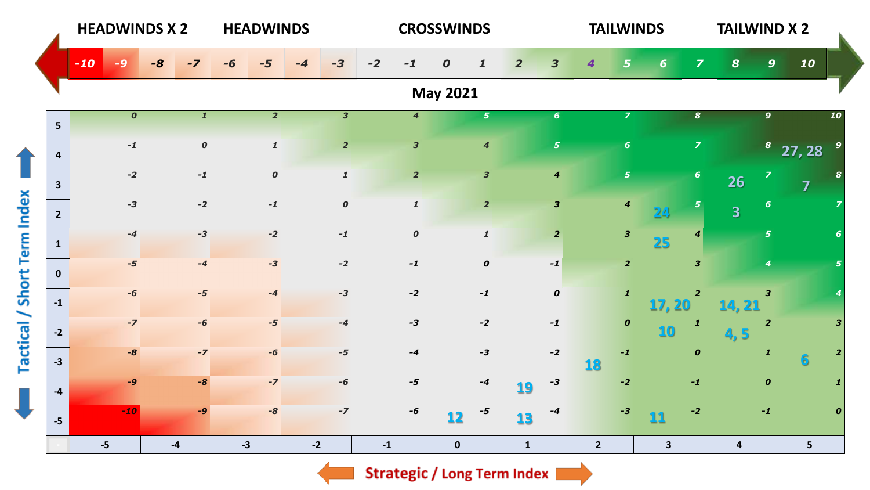|                             |                         | <b>HEADWINDS X 2</b> |      |              |      | <b>HEADWINDS</b>    |      |                         |               |                         | <b>CROSSWINDS</b> |                     |                |                         |                | <b>TAILWINDS</b>        |                 |                         | <b>TAILWIND X 2</b>     |                  |                         |                  |
|-----------------------------|-------------------------|----------------------|------|--------------|------|---------------------|------|-------------------------|---------------|-------------------------|-------------------|---------------------|----------------|-------------------------|----------------|-------------------------|-----------------|-------------------------|-------------------------|------------------|-------------------------|------------------|
|                             |                         | $-10$                | $-8$ |              |      |                     |      | -3                      | $-2$          | -1                      | 0                 |                     | $\overline{2}$ | $\overline{\mathbf{3}}$ | 4              | 5                       | 6               | $\overline{\mathbf{z}}$ | $\boldsymbol{8}$        | $\boldsymbol{9}$ | 10                      |                  |
|                             |                         |                      |      |              |      |                     |      |                         |               |                         | <b>May 2021</b>   |                     |                |                         |                |                         |                 |                         |                         |                  |                         |                  |
|                             | 5 <sup>5</sup>          | $\boldsymbol{o}$     |      | $\mathbf{1}$ |      | $\overline{2}$      |      | $\overline{\mathbf{3}}$ |               | $\overline{\mathbf{4}}$ |                   | 5 <sup>1</sup>      |                | $6\phantom{1}$          |                | $\overline{z}$          |                 | $\boldsymbol{s}$        |                         | $\overline{9}$   |                         | 10               |
|                             | $\overline{a}$          | $\mathbf{-1}$        |      | $\pmb{o}$    |      | $\pmb{\mathcal{I}}$ |      | $\overline{2}$          |               | $\overline{\mathbf{3}}$ |                   | $\boldsymbol{4}$    |                | $\overline{\mathbf{5}}$ |                | $6\phantom{1}6$         |                 | $\overline{z}$          |                         |                  | $8\quad27,28$           |                  |
|                             | $\overline{\mathbf{3}}$ | $-2$                 |      | $-1$         |      | $\pmb{o}$           |      | $\pmb{1}$               |               | $\overline{2}$          |                   | $\mathbf{3}$        |                | $\boldsymbol{4}$        |                | $\overline{\mathbf{5}}$ |                 | $\boldsymbol{6}$        | 26                      | $\overline{z}$   | $\overline{\mathbf{z}}$ | 8                |
|                             | $2^{\circ}$             | $-3$                 |      | $-2$         |      | $-1$                |      | $\pmb{o}$               |               | $\mathbf{1}$            |                   | $\overline{2}$      |                | $\mathbf{3}$            |                | $\boldsymbol{4}$        | 24              | 5                       | $\overline{\mathbf{3}}$ | 6                |                         |                  |
|                             | $\mathbf{1}$            | $-4$                 |      | $-3$         |      | $-2$                |      | $\mathbf{-1}$           |               | $\boldsymbol{o}$        |                   | $\pmb{\mathcal{I}}$ |                | $\overline{2}$          |                | $\overline{\mathbf{3}}$ | 25              | $\boldsymbol{4}$        |                         | 5 <sup>1</sup>   |                         |                  |
|                             | $\mathbf{0}$            | $-5$                 |      | $-4$         |      | $-3$                |      | $-2$                    |               | $-1$                    |                   | $\pmb{o}$           |                | $-1$                    |                | $\overline{2}$          |                 | 3                       |                         | $\boldsymbol{4}$ |                         |                  |
| Tactical / Short Term Index | $-1$                    | $-6$                 |      | $-5$         |      | $-4$                |      | $-3$                    |               | $-2$                    |                   | $-1$                |                | $\boldsymbol{o}$        |                | $\mathbf{1}$            | 17, 20          | $\overline{\mathbf{2}}$ | 14, 21                  | 3                |                         |                  |
|                             | $-2$                    | $-7$                 |      | -6           |      | $-5$                |      | $-4$                    |               | $-3$                    |                   | $-2$                |                | $-1$                    |                | $\pmb{o}$               | 10 <sub>1</sub> | $\mathbf{1}$            | 4,5                     | $\overline{2}$   |                         | 3                |
|                             | $-3$                    | $-8$                 |      | $-7$         |      | -6                  |      | $-5$                    |               | $-4$                    |                   | $-3$                |                | $-2$                    | 18             | $\mathbf{-1}$           |                 | $\boldsymbol{o}$        |                         | $\mathbf{1}$     | 6                       | $\overline{2}$   |
|                             | $-4$                    | $-9$                 |      | $-8$         |      | $-7$                |      | $-6$                    |               | $-5$                    |                   | $-4$                | 19             | -3                      |                | $-2$                    |                 | $-1$                    |                         | $\pmb{o}$        |                         |                  |
| J                           | $-5$                    | $-10$                |      | $-9$         |      | $-8$                |      | $-7$                    |               | -6                      | 12                | $-5$                | 13             | -4                      |                | $-3$                    | 11              | $-2$                    |                         | $-1$             |                         | $\boldsymbol{0}$ |
|                             |                         | $-5$                 |      | $-4$         | $-3$ |                     | $-2$ |                         | $\mathbf{-1}$ |                         | $\mathbf 0$       |                     | $\mathbf{1}$   |                         | $\overline{2}$ |                         | $\mathbf{3}$    |                         | $\overline{4}$          |                  | $5\phantom{a}$          |                  |

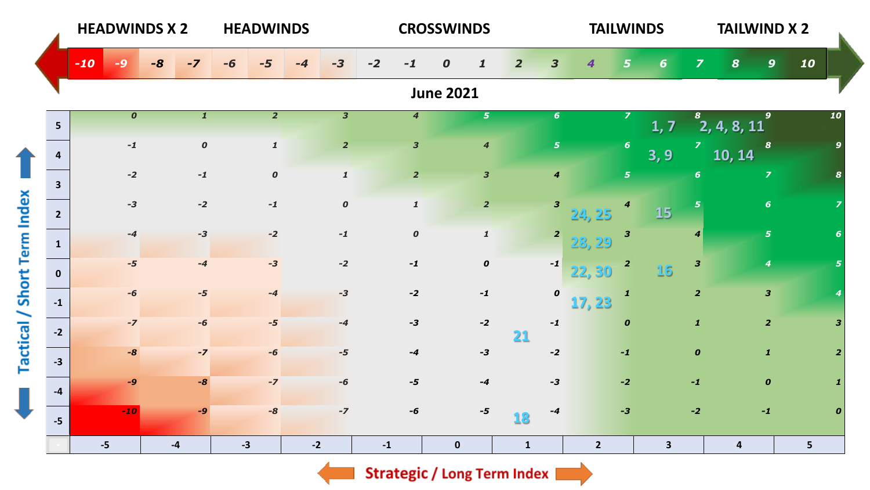|                             |                         | <b>HEADWINDS X 2</b> |      |                  | <b>HEADWINDS</b> |                         |               |                         | <b>CROSSWINDS</b> |                         |                |                         | <b>TAILWINDS</b> |                         |              |                  | <b>TAILWIND X 2</b>     |                         |    |          |
|-----------------------------|-------------------------|----------------------|------|------------------|------------------|-------------------------|---------------|-------------------------|-------------------|-------------------------|----------------|-------------------------|------------------|-------------------------|--------------|------------------|-------------------------|-------------------------|----|----------|
|                             |                         | $-10$<br>-9          | $-8$ | $-7$             | -6               | $-3$                    | $-2$          | $-1$                    | 0                 |                         | $\overline{2}$ | $\overline{\mathbf{3}}$ | 4                | 5                       | 6            | $\overline{z}$   | $\boldsymbol{s}$        | $\mathbf{9}$            | 10 |          |
|                             |                         |                      |      |                  |                  |                         |               |                         | <b>June 2021</b>  |                         |                |                         |                  |                         |              |                  |                         |                         |    |          |
|                             | 5 <sup>5</sup>          | $\boldsymbol{o}$     |      | $\mathbf{1}$     | $\overline{2}$   | $\overline{\mathbf{3}}$ |               | $\overline{4}$          |                   | 5 <sub>1</sub>          |                | $6\phantom{1}6$         |                  |                         | 1, 7         | 8                | $\overline{2,4,8,11}$   | $\mathbf{9}$            |    | 10       |
|                             | 4                       | $\mathbf{-1}$        |      | $\boldsymbol{o}$ | $\mathbf{1}$     | $\overline{2}$          |               | $\overline{\mathbf{3}}$ |                   | $\boldsymbol{4}$        |                | $\overline{5}$          |                  | $6\phantom{1}$          | 3, 9         | $\overline{z}$   | 10, 14                  | 8                       |    |          |
|                             | $\overline{\mathbf{3}}$ | $-2$                 |      | $-1$             | $\boldsymbol{o}$ | $\pmb{\mathit{1}}$      |               | $\overline{2}$          |                   | $\overline{\mathbf{3}}$ |                | $\boldsymbol{4}$        |                  | $\overline{5}$          |              | $6\phantom{a}$   |                         | $\overline{z}$          |    |          |
| Tactical / Short Term Index | $2^{\circ}$             | $-3$                 |      | $-2$             | $-1$             | $\pmb{o}$               |               | $\mathbf{1}$            |                   | $\overline{2}$          |                | $\mathbf{3}$            | 24, 25           | 4                       | <b>15</b>    | 5                |                         | 6 <sup>1</sup>          |    |          |
|                             | $\mathbf{1}$            | $-4$                 |      | $-3$             | $-2$             | $-1$                    |               | $\boldsymbol{o}$        |                   | $\pmb{\mathcal{I}}$     |                | $\overline{\mathbf{z}}$ | 23, 29           | $\overline{\mathbf{3}}$ |              | $\boldsymbol{4}$ |                         | 5 <sup>1</sup>          |    |          |
|                             | $\mathbf{0}$            | $-5$                 |      | $-4$             | $-3$             | $-2$                    |               | $-1$                    |                   | $\boldsymbol{o}$        |                | $-1$                    | 22, 30           | $\overline{\mathbf{c}}$ | 16           | $\mathbf{3}$     |                         | $\boldsymbol{4}$        |    |          |
|                             | $-1$                    | $-6$                 |      | $-5$             | $-4$             | $-3$                    |               | $-2$                    |                   | $-1$                    |                | $\pmb{o}$               | 17, 23           | $\mathbf{1}$            |              | $\overline{2}$   |                         | $\overline{\mathbf{3}}$ |    |          |
|                             | $-2$                    | $-7$                 |      | -6               | $-5$             | $-4$                    |               | $-3$                    |                   | $-2$                    | 21             | $-1$                    |                  | $\boldsymbol{0}$        |              | $\mathbf{1}$     |                         | $\overline{2}$          |    |          |
|                             | $-3$                    | $-8$                 |      | $-7$             | -6               | $-5$                    |               | $-4$                    |                   | $-3$                    |                | $-2$                    |                  | $-1$                    |              | $\boldsymbol{o}$ |                         | $\mathbf{1}$            |    |          |
| J                           | $-4$                    | $-9$                 |      | $-8$             | $-7$             | $-6$                    |               | -5                      |                   | $-4$                    |                | $-3$                    |                  | $-2$                    |              | $-1$             |                         | $\boldsymbol{o}$        |    |          |
|                             | $-5$                    | $-10$                |      | $-9$             | $-8$             | $-7$                    |               | $-6$                    |                   | $-5$                    | 18             | $-4$                    |                  | $-3$                    |              | $-2$             |                         | $-1$                    |    | $\Omega$ |
|                             |                         | $-5$                 | $-4$ |                  | $-3$             | $-2$                    | $\textbf{-1}$ |                         | $\pmb{0}$         |                         | $\mathbf{1}$   |                         | $\overline{2}$   |                         | $\mathbf{3}$ |                  | $\overline{\mathbf{4}}$ |                         | 5  |          |



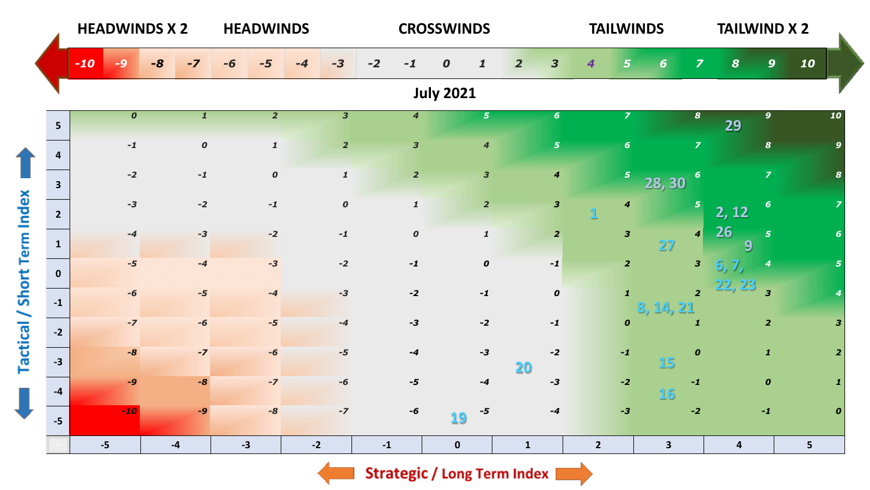|                                    |                | <b>HEADWINDS X 2</b> |               |                  | <b>HEADWINDS</b> |                  |      |                         |               |                         | <b>CROSSWINDS</b>   |                                           |                  |                |                         | <b>TAILWINDS</b>        |                         | <b>TAILWIND X 2</b>     |                  |                |                         |
|------------------------------------|----------------|----------------------|---------------|------------------|------------------|------------------|------|-------------------------|---------------|-------------------------|---------------------|-------------------------------------------|------------------|----------------|-------------------------|-------------------------|-------------------------|-------------------------|------------------|----------------|-------------------------|
|                                    |                | $-10$                | $-8$          |                  | -6               |                  |      | $-3$                    | $-2$<br>-1    |                         | 0<br>$\mathbf{1}$   | $\overline{\mathbf{3}}$<br>$\overline{2}$ |                  | 4              | 5                       | 6                       | $\overline{\mathbf{z}}$ | $\boldsymbol{8}$        | $\boldsymbol{9}$ | 10             |                         |
|                                    |                |                      |               |                  |                  |                  |      |                         |               |                         | <b>July 2021</b>    |                                           |                  |                |                         |                         |                         |                         |                  |                |                         |
|                                    | 5 <sup>5</sup> | $\boldsymbol{o}$     |               | $\mathbf{1}$     |                  | $\overline{2}$   |      | $\overline{\mathbf{3}}$ |               | $\overline{4}$          | 5 <sup>1</sup>      |                                           | $6\phantom{1}$   |                | $\overline{z}$          |                         | $\boldsymbol{s}$        | 29                      | 9 <sup>°</sup>   |                | 10                      |
|                                    | $\overline{a}$ | $\mathbf{-1}$        |               | $\boldsymbol{o}$ |                  | $\mathbf{1}$     |      | $\overline{2}$          |               | $\overline{\mathbf{3}}$ | $\boldsymbol{4}$    |                                           | $\overline{5}$   |                | 6                       |                         | $\overline{z}$          |                         | $\boldsymbol{s}$ |                | $\mathbf{q}$            |
|                                    | $\mathbf{3}$   | $-2$                 |               | $-1$             |                  | $\boldsymbol{o}$ |      | $\pmb{\mathcal{1}}$     |               | 2 <sup>1</sup>          | $\mathbf{3}$        |                                           | $\boldsymbol{4}$ |                | $\overline{\mathbf{5}}$ | 28, 30                  | $\boldsymbol{6}$        |                         | $\overline{z}$   |                |                         |
|                                    | $2^{\circ}$    | $-3$                 |               | $-2$             |                  | $-1$             |      | $\pmb{o}$               |               | $\mathbf{1}$            | $\overline{2}$      |                                           | $\mathbf{3}$     |                | $\boldsymbol{4}$        |                         | $\mathbf{5}$            | 2, 12                   | $6\phantom{1}6$  |                |                         |
|                                    | $\mathbf{1}$   | $-4$                 |               | $-3$             |                  | $-2$             |      | $\mathbf{-1}$           |               | $\boldsymbol{o}$        | $\pmb{\mathcal{I}}$ |                                           | $\overline{2}$   |                | $\overline{\mathbf{3}}$ | 27                      | $\vert$                 | <b>26</b><br>9          | $\overline{5}$   |                |                         |
|                                    | $\mathbf{0}$   | $-5$                 |               | $-4$             |                  | $-3$             |      | $-2$                    |               | $-1$                    | $\pmb{o}$           |                                           | $-1$             |                | $\overline{2}$          |                         | $\mathbf{3}$            | 6, 7,                   | 4                |                |                         |
| <b>Tactical / Short Term Index</b> | $-1$           | $-6$                 |               | $-5$             |                  | $-4$             |      | $-3$                    |               | $-2$                    | $-1$                |                                           | $\boldsymbol{o}$ |                | $\mathbf{1}$            | 8, 14, 21               | $\overline{2}$          | $22, 23$ <sub>3</sub>   |                  |                |                         |
|                                    | $-2$           | $-7$                 |               | $-6$             |                  | $-5$             |      | $-4$                    |               | $-3$                    | $-2$                |                                           | $-1$             |                | $\boldsymbol{o}$        |                         | 1                       |                         | $\overline{2}$   |                | $\overline{\mathbf{3}}$ |
|                                    | $-3$           | $-8$                 |               | $-7$             |                  | $-6$             |      | $-5$                    |               | $-4$                    | $-3$                | 20)                                       | $-2$             |                | $-1$                    | 15                      | $\boldsymbol{0}$        |                         | $\mathbf{1}$     |                | $\overline{2}$          |
|                                    | $-4$           | $-9$                 |               | $-8$             |                  | $-7$             |      | $-6$                    |               | $-5$                    | $-4$                |                                           | -3               |                | $-2$                    | <b>16</b>               | $-1$                    |                         | $\boldsymbol{o}$ |                |                         |
| J                                  | $-5$           | $-10$                |               | $-9$             |                  | $-8$             |      | $-7$                    |               | $-6$                    | -5<br>19            |                                           | $-4$             |                | $-3$                    |                         | $-2$                    |                         | $-1$             |                | $\boldsymbol{0}$        |
|                                    |                | $-5$                 | $\textbf{-4}$ |                  | $-3$             |                  | $-2$ |                         | $\mathbf{-1}$ |                         | $\mathbf 0$         | $\mathbf{1}$                              |                  | $\overline{2}$ |                         | $\overline{\mathbf{3}}$ |                         | $\overline{\mathbf{4}}$ |                  | 5 <sup>1</sup> |                         |

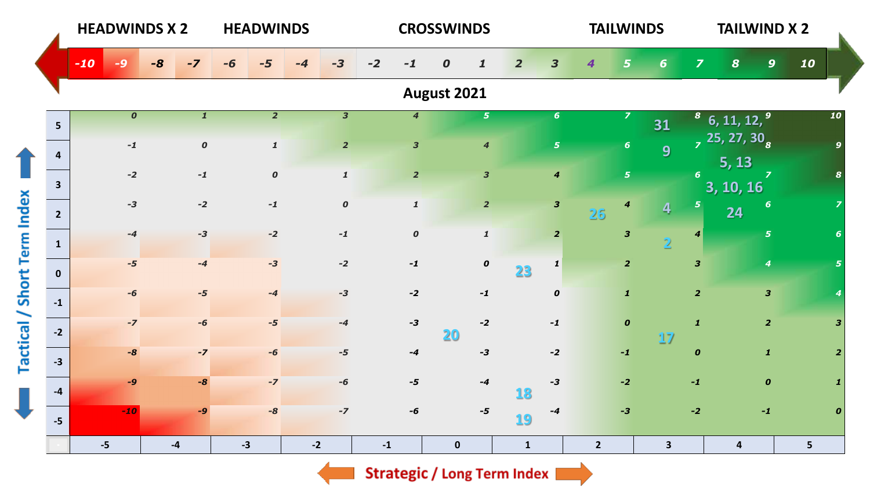|                             |                | <b>HEADWINDS X 2</b> |      |                  | <b>HEADWINDS</b> |                     |                         |               |                         | <b>CROSSWINDS</b>   |                         |                         |                | <b>TAILWINDS</b> |                         |                         | <b>TAILWIND X 2</b>                            |                  |                |                  |
|-----------------------------|----------------|----------------------|------|------------------|------------------|---------------------|-------------------------|---------------|-------------------------|---------------------|-------------------------|-------------------------|----------------|------------------|-------------------------|-------------------------|------------------------------------------------|------------------|----------------|------------------|
|                             |                | $-10$<br>-9          | $-8$ | -7               | -6               | -4                  | $-3$                    | $-2$<br>$-1$  |                         | 0<br>1              | $\overline{2}$          | $\overline{\mathbf{3}}$ | 4              | 5                | 6                       | $\overline{\mathbf{z}}$ | $\boldsymbol{8}$                               | 9 <sup>°</sup>   | 10             |                  |
|                             |                |                      |      |                  |                  |                     |                         |               |                         | August 2021         |                         |                         |                |                  |                         |                         |                                                |                  |                |                  |
|                             | 5 <sup>5</sup> | $\boldsymbol{o}$     |      | $\mathbf{1}$     |                  | $\overline{2}$      | $\overline{\mathbf{3}}$ |               | $\overline{\mathbf{4}}$ |                     | $\mathbf{5}$            | $6\phantom{1}6$         |                | $\overline{z}$   | 31                      |                         | $8\,$ 6, 11, 12, $9\,$                         |                  |                | 10               |
|                             | $\overline{a}$ | $-1$                 |      | $\boldsymbol{o}$ |                  | $\pmb{\mathcal{1}}$ | $\overline{2}$          |               | $\overline{\mathbf{3}}$ |                     | $\boldsymbol{4}$        | $\sqrt{5}$              |                | 6 <sup>1</sup>   | 9                       |                         | $\frac{1}{7}$ 25, 27, 30 <sub>8</sub><br>5, 13 |                  |                |                  |
|                             | $\mathbf{3}$   | $-2$                 |      | $-1$             |                  | $\boldsymbol{o}$    | $\pmb{\mathcal{1}}$     |               | $\overline{2}$          |                     | $\overline{\mathbf{3}}$ | $\overline{\mathbf{4}}$ |                | 5 <sup>1</sup>   |                         | 6 <sup>1</sup>          | 3, 10, 16                                      | $\overline{z}$   |                |                  |
|                             | $2^{\circ}$    | $-3$                 |      | $-2$             |                  | $-1$                | $\pmb{o}$               |               | $\mathbf{1}$            |                     | $\overline{2}$          | $\overline{\mathbf{3}}$ | 26             | 4                | $\overline{4}$          | $\overline{5}$          | 24                                             | 6                |                |                  |
|                             | $\mathbf{1}$   | $-4$                 |      | $-3$             |                  | $-2$                | $\mathbf{-1}$           |               | $\boldsymbol{o}$        | $\pmb{\mathcal{I}}$ |                         | $\overline{2}$          |                | $\mathbf{3}$     | $\overline{2}$          | 4                       |                                                | $\overline{5}$   |                |                  |
|                             | $\mathbf{0}$   | $-5$                 |      | $-4$             |                  | $-3$                | $-2$                    |               | $-1$                    |                     | $\pmb{o}$<br>23         | $\mathbf{1}$            |                | $\overline{2}$   |                         | $\overline{\mathbf{3}}$ |                                                | $\boldsymbol{4}$ |                |                  |
| Tactical / Short Term Index | $-1$           | $-6$                 |      | $-5$             |                  | $-4$                | $-3$                    |               | $-2$                    | $-1$                |                         | $\boldsymbol{o}$        |                | $\mathbf{1}$     |                         | $\overline{2}$          |                                                | $\mathbf{3}$     |                |                  |
|                             | $-2$           | $-7$                 |      | -6               |                  | $-5$                | $-4$                    |               | $-3$                    | $-2$<br>20          |                         | $\mathbf{-1}$           |                | $\boldsymbol{o}$ | 17                      | $\mathbf{1}$            |                                                | $\overline{2}$   |                | 3                |
|                             | $-3$           | $-8$                 |      | $-7$             |                  | $-6$                | $-5$                    |               | $-4$                    | $-3$                |                         | $-2$                    |                | $-1$             |                         | $\boldsymbol{o}$        |                                                | $\boldsymbol{1}$ |                | $\overline{2}$   |
|                             | $-4$           | $-9$                 |      | -8               |                  | $-7$                | -6                      |               | $-5$                    | $-4$                | 18                      | $-3$                    |                | $-2$             |                         | $-1$                    |                                                | $\boldsymbol{o}$ |                |                  |
| J                           | $-5$           | $-10$                |      | $-9$             |                  | $-8$                | $-7$                    |               | $-6$                    | $-5$                | 19                      | $-4$                    |                | $-3$             |                         | $-2$                    |                                                | $-1$             |                | $\boldsymbol{0}$ |
|                             |                | $-5$                 | $-4$ |                  | $-3$             |                     | $-2$                    | $\mathbf{-1}$ |                         | $\mathbf 0$         | $\mathbf{1}$            |                         | $\overline{2}$ |                  | $\overline{\mathbf{3}}$ |                         | $\overline{\mathbf{4}}$                        |                  | 5 <sup>5</sup> |                  |

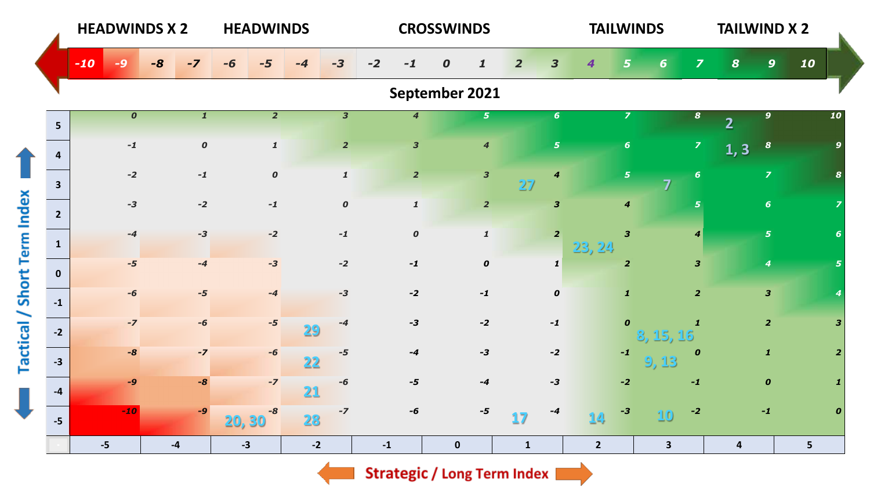|                             |                         | <b>HEADWINDS X 2</b> |                  | <b>HEADWINDS</b>    |                         |                         | <b>CROSSWINDS</b>     |                                           | <b>TAILWINDS</b>                  |                              | <b>TAILWIND X 2</b>              |                         |
|-----------------------------|-------------------------|----------------------|------------------|---------------------|-------------------------|-------------------------|-----------------------|-------------------------------------------|-----------------------------------|------------------------------|----------------------------------|-------------------------|
|                             |                         | $-10$<br>-9          | $-8$<br>$-7$     |                     | -3                      | $-2$<br>-1              | $\boldsymbol{o}$<br>1 | $\overline{\mathbf{3}}$<br>$\overline{2}$ | 4<br>5                            | $\overline{\mathbf{z}}$<br>6 | $\boldsymbol{8}$<br>$\mathbf{9}$ | 10                      |
|                             |                         |                      |                  |                     |                         |                         | September 2021        |                                           |                                   |                              |                                  |                         |
|                             | 5 <sup>5</sup>          | $\boldsymbol{o}$     | $\mathbf{1}$     | $\overline{2}$      | $\overline{\mathbf{3}}$ | $\overline{4}$          | 5 <sup>5</sup>        | $6\phantom{1}$                            | $\overline{z}$                    | 8                            | 9 <sup>°</sup>                   | 10                      |
|                             | $\overline{4}$          | $\mathbf{-1}$        | $\boldsymbol{o}$ | $\pmb{\mathcal{I}}$ | $\overline{2}$          | $\overline{\mathbf{3}}$ | $\boldsymbol{4}$      | $\overline{\mathbf{5}}$                   | $6\phantom{1}6$                   | $\mathbf{Z}$                 | $\boldsymbol{s}$<br>1, 3         | $\mathbf{Q}$            |
|                             | $\overline{\mathbf{3}}$ | $-2$                 | $-1$             | $\pmb{o}$           | $\pmb{\mathcal{1}}$     | $\overline{2}$          | $\mathbf{3}$          | $\boldsymbol{4}$<br>27                    | $\overline{5}$                    | $\boldsymbol{6}$<br>7        | $\overline{z}$                   |                         |
|                             | $2^{\circ}$             | $-3$                 | $-2$             | $-1$                | $\pmb{o}$               | $\mathbf{1}$            | $\overline{2}$        | $\overline{\mathbf{3}}$                   | $\boldsymbol{4}$                  | 5                            | 6 <sup>1</sup>                   |                         |
|                             | $\mathbf{1}$            | $-4$                 | $-3$             | $-2$                | $\mathbf{-1}$           | $\boldsymbol{o}$        | $\pmb{\mathcal{I}}$   | $\overline{2}$                            | $\overline{\mathbf{3}}$<br>23, 24 | $\vert 4 \vert$              | 5 <sup>1</sup>                   | 6                       |
|                             | $\mathbf{0}$            | $-5$                 | $-4$             | $-3$                | $-2$                    | $-1$                    | $\pmb{o}$             | $\mathbf{1}$                              | $\overline{2}$                    | $\overline{\mathbf{3}}$      | $\overline{\boldsymbol{4}}$      | 5                       |
| Tactical / Short Term Index | $-1$                    | $-6$                 | $-5$             | $-4$                | $-3$                    | $-2$                    | $-1$                  | $\pmb{o}$                                 | $\mathbf{1}$                      | 2 <sup>1</sup>               | $\mathbf{3}$                     |                         |
|                             | $-2$                    | $-7$                 | -6               | $-5$                | -4<br>29                | $-3$                    | $-2$                  | $-1$                                      | $\boldsymbol{o}$                  | $\mathbf{1}$<br>3, 15, 16    | $\overline{2}$                   | $\overline{\mathbf{3}}$ |
|                             | $-3$                    | $-8$                 | $-7$             | $-6$                | $-5$<br>22              | $-4$                    | $-3$                  | $-2$                                      | $\textbf{-1}$                     | $\boldsymbol{o}$<br>9,13     | $\mathbf{1}$                     | $\overline{2}$          |
|                             | $-4$                    | $-9$                 | $-8$             | $-7$                | -6<br>21                | $-5$                    | $-4$                  | $-3$                                      | $-2$                              | $-1$                         | $\boldsymbol{0}$                 |                         |
| J                           | $-5$                    | $-10$                | $-9$             | $-8$<br>20, 30      | $-7$<br>28              | -6                      | $-5$                  | -4<br>17                                  | $-3$<br>14                        | $-2$<br>10                   | $-1$                             | $\boldsymbol{0}$        |
|                             |                         | $-5$                 | $\textbf{-4}$    | $-3$                | $-2$                    | $-1$                    | $\pmb{0}$             | $\mathbf{1}$                              | $2^{\circ}$                       | $\mathbf{3}$                 | $\overline{\mathbf{4}}$          | 5                       |

 $\Rightarrow$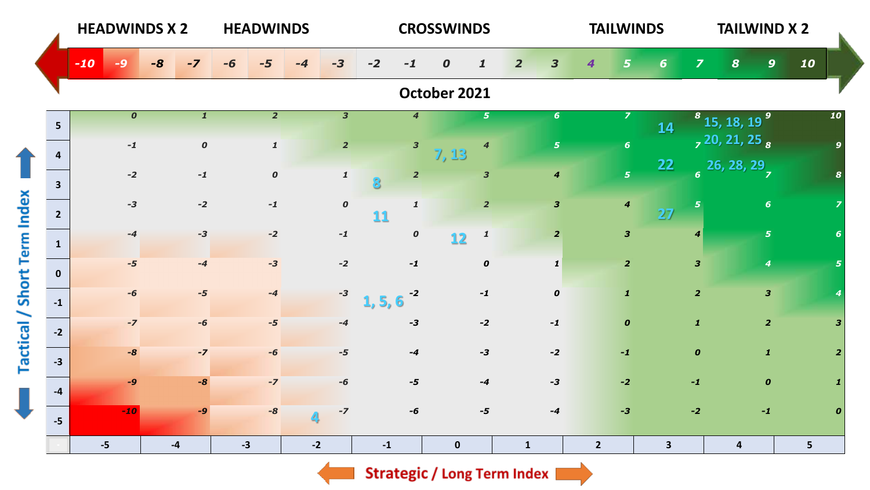|                             |                         | <b>HEADWINDS X 2</b> |              | <b>HEADWINDS</b>                 |                         |                                 | <b>CROSSWINDS</b>        |                                           | <b>TAILWINDS</b>        |                         | <b>TAILWIND X 2</b>                                           |                  |
|-----------------------------|-------------------------|----------------------|--------------|----------------------------------|-------------------------|---------------------------------|--------------------------|-------------------------------------------|-------------------------|-------------------------|---------------------------------------------------------------|------------------|
|                             |                         | $-10$<br>-9          | $-8$<br>$-7$ |                                  | $-3$                    | $-2$<br>$-1$                    | 0                        | $\overline{\mathbf{3}}$<br>$\overline{2}$ | 4<br>5                  | 6                       | 9 <sup>°</sup><br>$\overline{\mathbf{z}}$<br>$\boldsymbol{8}$ | 10               |
|                             |                         |                      |              |                                  |                         |                                 | October 2021             |                                           |                         |                         |                                                               |                  |
|                             | 5 <sup>5</sup>          | $\boldsymbol{o}$     |              | $\overline{2}$<br>$\mathbf{1}$   | $\overline{\mathbf{3}}$ | $\overline{4}$                  | $\mathbf{5}$             | $6\phantom{1}$                            | $\overline{z}$          | 14                      | $8^{8}$ 15, 18, 19 $9^{9}$                                    | 10               |
|                             | $\overline{a}$          | $-1$                 |              | $\boldsymbol{o}$<br>$\mathbf{1}$ | $\overline{2}$          | $\overline{\mathbf{3}}$         | $\boldsymbol{4}$<br>7,13 | 5 <sub>5</sub>                            | $6\phantom{1}$          |                         | $, 20, 21, 25$ <sub>8</sub>                                   |                  |
|                             | $\overline{\mathbf{3}}$ | $-2$                 | $-1$         | $\boldsymbol{o}$                 | $\pmb{\mathcal{1}}$     | $\overline{2}$                  | $\overline{\mathbf{3}}$  | $\boldsymbol{4}$                          | 5 <sup>1</sup>          | <b>22</b>               | $\frac{1}{6}$ 26, 28, 29                                      |                  |
| Tactical / Short Term Index | $2^{\circ}$             | $-3$                 | $-2$         | $-1$                             | $\pmb{o}$               | $\mathbf{1}$<br>11              | $\overline{2}$           | $\mathbf{3}$                              | $\boldsymbol{4}$        | 5<br>27                 | 6 <sup>1</sup>                                                |                  |
|                             | $\mathbf{1}$            | $-4$                 | $-3$         | $-2$                             | $\mathbf{-1}$           | $\boldsymbol{o}$                | $\mathbf{1}$<br>12       | $\overline{2}$                            | $\overline{\mathbf{3}}$ |                         | $\overline{5}$<br>$\boldsymbol{4}$                            |                  |
|                             | $\mathbf{0}$            | $-5$                 | $-4$         | $-3$                             | $-2$                    | $-1$                            | $\pmb{o}$                | $\mathbf{1}$                              | $\overline{2}$          |                         | $\overline{\mathbf{3}}$<br>$\boldsymbol{4}$                   |                  |
|                             | $-1$                    | $-6$                 | $-5$         | $-4$                             | $-3$                    | $-2$<br>1, 5,<br>$\ddot{\circ}$ | $-1$                     | $\boldsymbol{o}$                          | $\mathbf{1}$            |                         | $\overline{\mathbf{3}}$<br>$\overline{2}$                     |                  |
|                             | $-2$                    | $-7$                 | $-6$         | $-5$                             | $-4$                    | $-3$                            | $-2$                     | $-1$                                      | $\boldsymbol{o}$        |                         | $\overline{2}$<br>$\mathbf{1}$                                | 3                |
|                             | $-3$                    | $-8$                 | $-7$         | -6                               | $-5$                    | $-4$                            | $-3$                     | $-2$                                      | $-1$                    |                         | $\mathbf{1}$<br>$\boldsymbol{o}$                              |                  |
| J                           | $-4$                    | $-9$                 | $-8$         | $-7$                             | -6                      | $-5$                            | $-4$                     | $-3$                                      | $-2$                    | $-1$                    | $\boldsymbol{o}$                                              |                  |
|                             | $-5$                    | $-10$                | $-9$         | $-8$                             | $-7$                    | $-6$                            | $-5$                     | $-4$                                      | $-3$                    | $-2$                    | $-1$                                                          | $\boldsymbol{0}$ |
|                             |                         | $-5$                 | $-4$         | $-3$                             | $-2$                    | $\textbf{-1}$                   | $\mathbf 0$              | $\mathbf{1}$                              | $\overline{2}$          | $\overline{\mathbf{3}}$ | $\overline{\mathbf{4}}$                                       | 5 <sup>1</sup>   |

 $\blacksquare$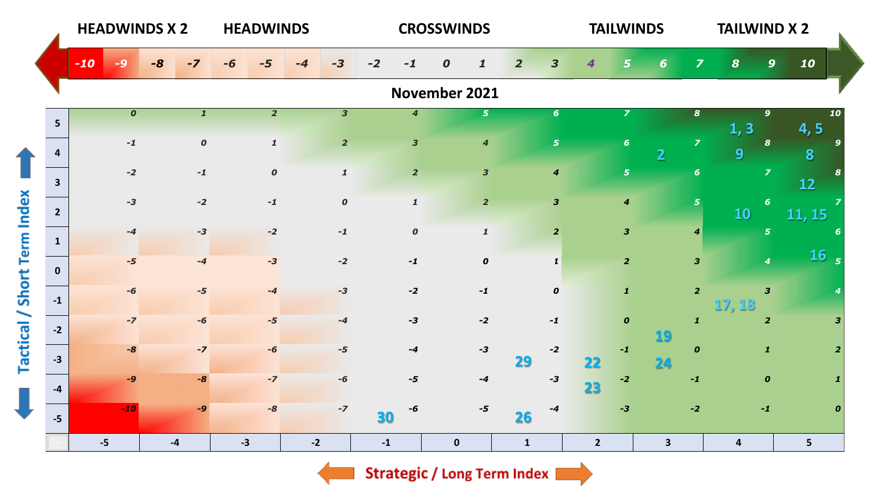|                  |                         |       |                  | <b>HEADWINDS X 2</b> |                  |      | <b>HEADWINDS</b> |      |                         |            |                         | <b>CROSSWINDS</b>                |                |                  |             | <b>TAILWINDS</b>        |              |                         | <b>TAILWIND X 2</b>     |                         |                     |                  |
|------------------|-------------------------|-------|------------------|----------------------|------------------|------|------------------|------|-------------------------|------------|-------------------------|----------------------------------|----------------|------------------|-------------|-------------------------|--------------|-------------------------|-------------------------|-------------------------|---------------------|------------------|
|                  |                         | $-10$ |                  | $-8$                 | $-7$             |      | -5               |      | $-3$                    | $-2$<br>-1 |                         | $\boldsymbol{o}$<br>$\mathbf{1}$ | $\overline{2}$ | 3                | 4           |                         | 6            | $\overline{\mathbf{z}}$ | 8                       | 9                       | 10                  |                  |
|                  |                         |       |                  |                      |                  |      |                  |      |                         |            |                         | November 2021                    |                |                  |             |                         |              |                         |                         |                         |                     |                  |
|                  | $5\overline{5}$         |       | $\boldsymbol{o}$ |                      | $\mathbf{1}$     |      | $\overline{2}$   |      | $\overline{\mathbf{3}}$ |            | $\overline{4}$          | 5 <sup>1</sup>                   |                | 6 <sup>1</sup>   |             | $\overline{z}$          |              | $\boldsymbol{8}$        | 1, 3                    | 9 <sup>°</sup>          | 4,5                 | 10               |
|                  | 4                       |       | $\mathbf{-1}$    |                      | $\boldsymbol{o}$ |      | $\mathbf{1}$     |      | $\overline{2}$          |            | $\overline{\mathbf{3}}$ | $\boldsymbol{4}$                 |                | $\overline{5}$   |             | $6\phantom{1}6$         | 2            | $\overline{z}$          | 9                       | $\boldsymbol{s}$        | 8                   |                  |
|                  | $\overline{\mathbf{3}}$ |       | $-2$             |                      | $-1$             |      | $\boldsymbol{o}$ |      | $\mathbf{1}$            |            | $\overline{2}$          | $\overline{\mathbf{3}}$          |                | $\boldsymbol{4}$ |             | 5 <sub>5</sub>          |              | $6\phantom{1}$          |                         | $\overline{z}$          | <b>12</b>           |                  |
|                  | $\overline{2}$          |       | $-3$             |                      | $-2$             |      | $-1$             |      | $\boldsymbol{o}$        |            | $\mathbf{1}$            | $\overline{2}$                   |                | $\mathbf{3}$     |             | $\boldsymbol{4}$        |              | $\overline{\mathbf{5}}$ | <b>10</b>               | 6 <sup>1</sup>          | $\overline{11, 15}$ |                  |
|                  | $\mathbf{1}$            |       | $-4$             |                      | $-3$             |      | $-2$             |      | $-1$                    |            | $\boldsymbol{o}$        | $\pmb{\mathit{1}}$               |                | $\overline{2}$   |             | $\overline{\mathbf{3}}$ |              | $\boldsymbol{4}$        |                         | $\overline{5}$          |                     | -6               |
|                  | $\mathbf{0}$            |       | $-5$             |                      | $-4$             |      | $-3$             |      | $-2$                    | $-1$       |                         | $\pmb{o}$                        |                | $\mathbf{1}$     |             | $\overline{2}$          |              | $\overline{\mathbf{3}}$ |                         | $\boldsymbol{4}$        |                     | 16 <sub>5</sub>  |
| Short Term Index | $-1$                    |       | $-6$             |                      | $-5$             |      | $-4$             |      | $-3$                    | $-2$       |                         | $-1$                             |                | $\boldsymbol{o}$ |             | $\mathbf{1}$            |              | $\overline{2}$          |                         | $\overline{\mathbf{3}}$ |                     |                  |
|                  |                         |       | $-7$             |                      | $-6$             |      | $-5$             |      | $-4$                    | $-3$       |                         | $-2$                             |                | $-1$             |             | $\boldsymbol{o}$        |              | $\mathbf{1}$            | 17, 18                  | $\overline{2}$          |                     |                  |
| Tactical /       | $-2$                    |       | $-8$             |                      | $-7$             |      | $-6$             |      | $-5$                    | $-4$       |                         | $-3$                             |                | $-2$             |             | $-1$                    | 19           | $\boldsymbol{o}$        |                         | $\mathbf{1}$            |                     |                  |
|                  | $-3$                    |       | $-9$             |                      | $-8$             |      | $-7$             |      | $-6$                    | $-5$       |                         | $-4$                             | 29             | $-3$             | 22          | $-2$                    | 24           | $-1$                    |                         | $\boldsymbol{o}$        |                     |                  |
|                  | $-4$                    |       | $-10$            |                      | $-9$             |      | $-8$             |      | $-7$                    | -6         |                         | $-5$                             |                | -4               | 23          | $-3$                    |              | $-2$                    |                         | $-1$                    |                     | $\boldsymbol{0}$ |
|                  | $-5$                    |       |                  |                      |                  |      |                  |      |                         | 30         |                         |                                  | 26             |                  |             |                         |              |                         |                         |                         |                     |                  |
|                  |                         | $-5$  |                  |                      | $-4$             | $-3$ |                  | $-2$ |                         | $-1$       |                         | $\mathbf 0$                      | $\mathbf{1}$   |                  | $2^{\circ}$ |                         | $\mathbf{3}$ |                         | $\overline{\mathbf{4}}$ |                         | 5 <sup>1</sup>      |                  |